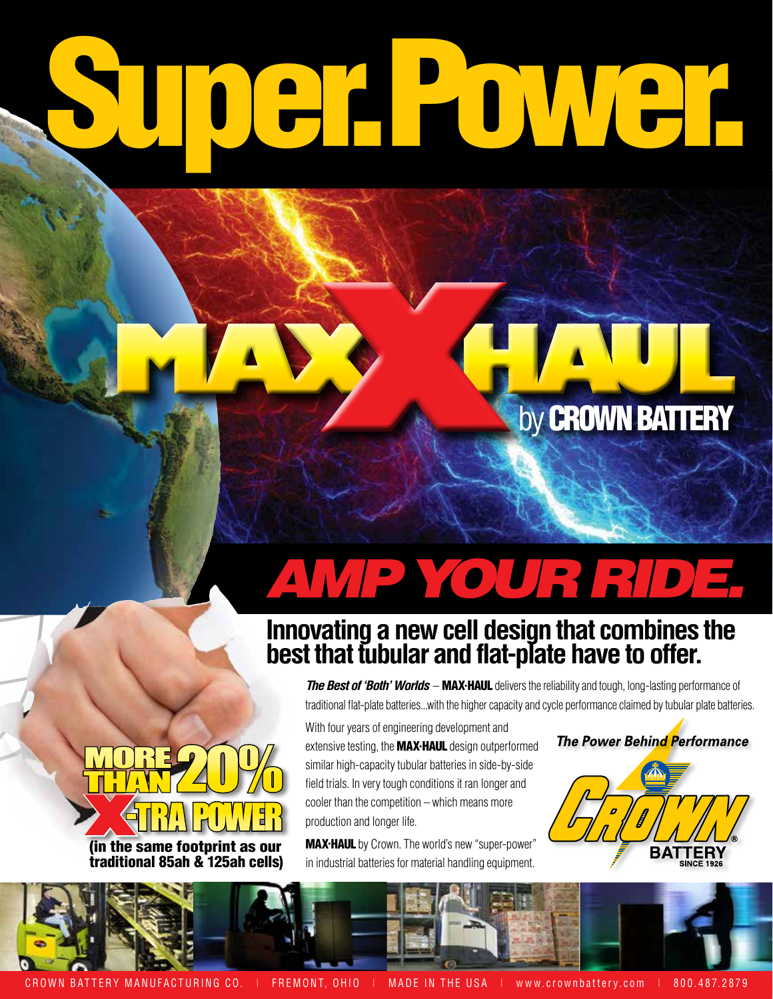# Burge Company

## *AMP YOUR RIDE.*

### **Innovating a new cell design that combines the best that tubular and flat-plate have to offer.**

*The Best of 'Both' Worlds* – MAX•HAUL delivers the reliability and tough, long-lasting performance of traditional flat-plate batteries...with the higher capacity and cycle performance claimed by tubular plate batteries.

With four years of engineering development and extensive testing, the **MAX·HAUL** design outperformed similar high-capacity tubular batteries in side-by-side field trials. In very tough conditions it ran longer and cooler than the competition – which means more production and longer life.

MAX•HAUL by Crown. The world's new "super-power" in industrial batteries for material handling equipment.

#### **The Power Behind Performance**

by **CROWN BATTERY** 





CROWN BATTERY MANUFACTURING CO. | FREMONT, OHIO | MADE IN THE USA | www.crownbattery.com | 800.487.2879

(in the same footprint as our **X**-TRA POWER

MORE 20%

MORE <u>LAALUADI E</u>

traditional 85ah & 125ah cells)